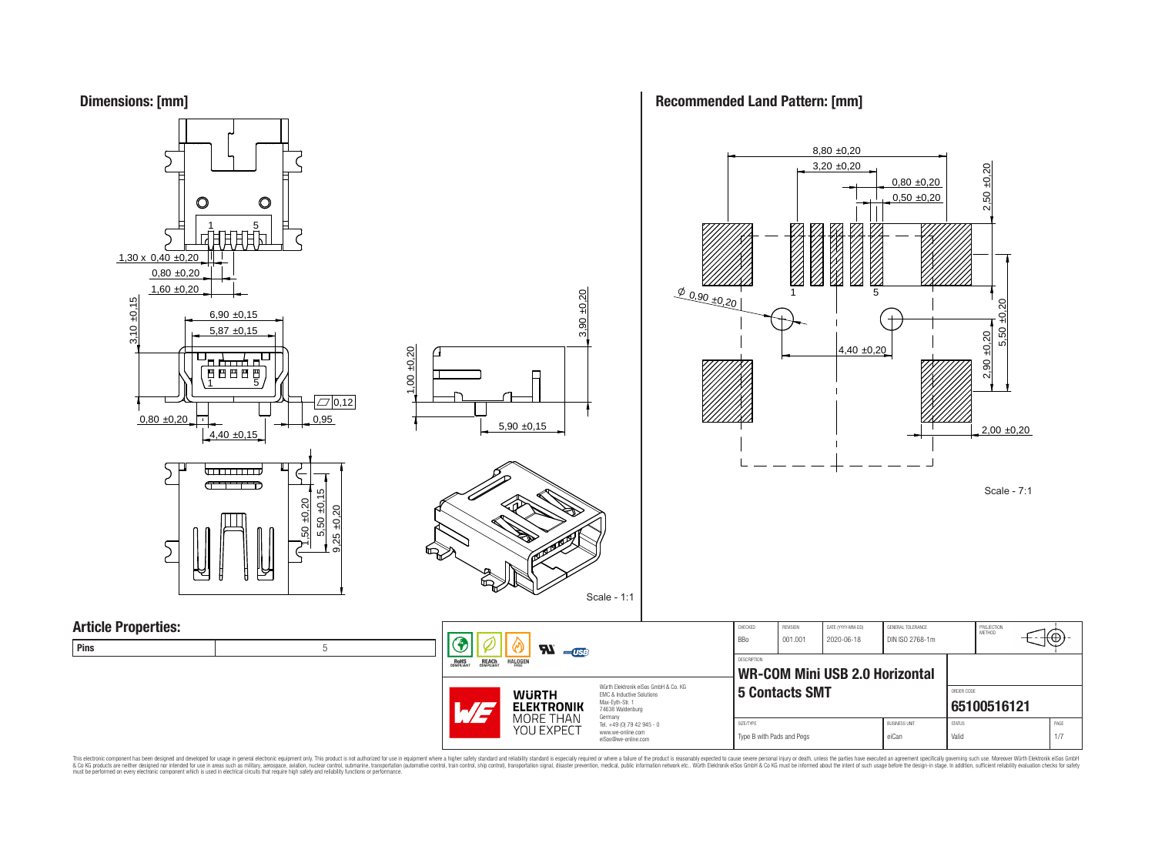



This electronic component has been designed and developed for usage in general electronic equipment only. This product is not authorized for subserved requipment where a higher selection equipment where a higher selection

### **Recommended Land Pattern: [mm]**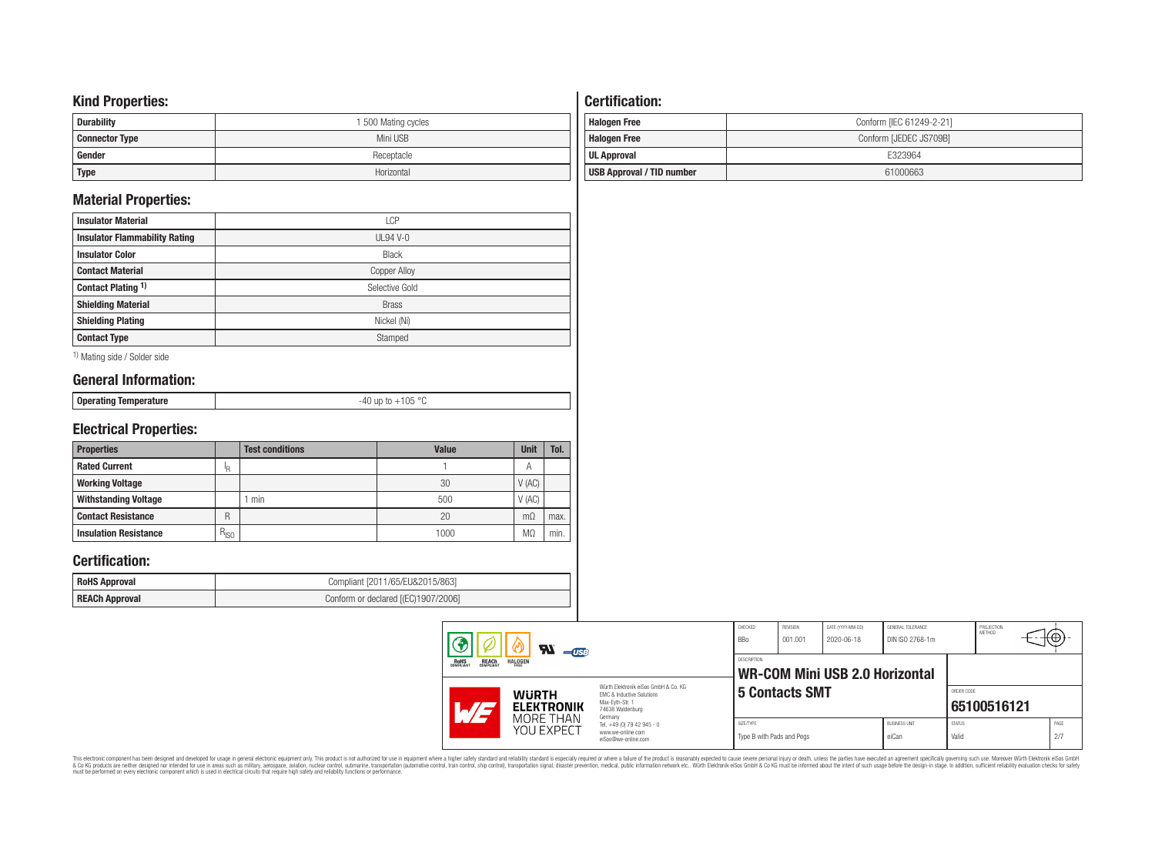### **Kind Properties:**

| <b>Durability</b>     | 1 500 Mating cycles |
|-----------------------|---------------------|
| <b>Connector Type</b> | Mini USB            |
| Gender                | Receptacle          |
| <b>Type</b>           | Horizontal          |

### **Material Properties:**

| <b>Insulator Material</b>            | LCP                 |
|--------------------------------------|---------------------|
| <b>Insulator Flammability Rating</b> | $UL94V-0$           |
| <b>Insulator Color</b>               | <b>Black</b>        |
| <b>Contact Material</b>              | <b>Copper Alloy</b> |
| Contact Plating 1)                   | Selective Gold      |
| <b>Shielding Material</b>            | <b>Brass</b>        |
| <b>Shielding Plating</b>             | Nickel (Ni)         |
| <b>Contact Type</b>                  | Stamped             |

1) Mating side / Solder side

# **General Information:**

| <b>Operating Temperature</b> |
|------------------------------|
|                              |

-40 up to +105 °C

# **Electrical Properties:**

| <b>Properties</b>            |           | <b>Test conditions</b> | <b>Value</b> | <b>Unit</b> | Tol. |
|------------------------------|-----------|------------------------|--------------|-------------|------|
| <b>Rated Current</b>         | ΙR        |                        |              | А           |      |
| <b>Working Voltage</b>       |           |                        | 30           | V(AC)       |      |
| <b>Withstanding Voltage</b>  |           | min                    | 500          | V(AC)       |      |
| <b>Contact Resistance</b>    | R         |                        | 20           | $m\Omega$   | max. |
| <b>Insulation Resistance</b> | $R_{ISO}$ |                        | 1000         | M.          | min. |

## **Certification:**

| <b>RoHS Approval</b> | Compliant [2011/65/EU&2015/863]     |
|----------------------|-------------------------------------|
| REACh Approval       | Conform or declared [(EC)1907/2006] |

# **Certification: Halogen Free Conform [IEC 61249-2-21] Halogen Free** Conform IJEDEC JS709B1

| ιιαινγσιι ι ισσ           | <b>OVITUITIT JULDLU JUI UJDI</b> |
|---------------------------|----------------------------------|
| UL Approval               | E323964                          |
| USB Approval / TID number | 61000663                         |

| $\boldsymbol{\mathcal{H}}$<br>USB<br><b>HALOGEN</b><br><b>REACH</b><br>COMPLIANT<br><b>ROHS</b><br>COMPLIANT                                                                       |                                                                                   | CHECKED<br><b>BBo</b><br>DESCRIPTION   | REVISION<br>001.001   | DATE (YYYY-MM-DD)<br>2020-06-18<br><b>WR-COM Mini USB 2.0 Horizontal</b> | GENERAL TOLERANCE<br>DIN ISO 2768-1m |                        | PROJECTION<br>METHOD | $+ \oplus +$ |  |
|------------------------------------------------------------------------------------------------------------------------------------------------------------------------------------|-----------------------------------------------------------------------------------|----------------------------------------|-----------------------|--------------------------------------------------------------------------|--------------------------------------|------------------------|----------------------|--------------|--|
| Würth Elektronik eiSos GmbH & Co. KG<br><b>WURTH</b><br><b>EMC &amp; Inductive Solutions</b><br>Max-Eyth-Str. 1<br><b>ELEKTRONIK</b><br>$\mathcal{A}$ / $\sim$<br>74638 Waldenburg |                                                                                   |                                        | <b>5 Contacts SMT</b> |                                                                          |                                      | ORDER CODE             | 65100516121          |              |  |
| MORE THAN<br>YOU EXPECT                                                                                                                                                            | Germany<br>Tel. +49 (0) 79 42 945 - 0<br>www.we-online.com<br>eiSos@we-online.com | SIZE/TYPE<br>Type B with Pads and Pegs |                       |                                                                          | <b>BUSINESS UNIT</b><br>eiCan        | <b>STATUS</b><br>Valid |                      | PAGE<br>2/7  |  |

This electronic component has been designed and developed for usage in general electronic equipment only. This product is not authorized for subserved requipment where a higher selection equipment where a higher selection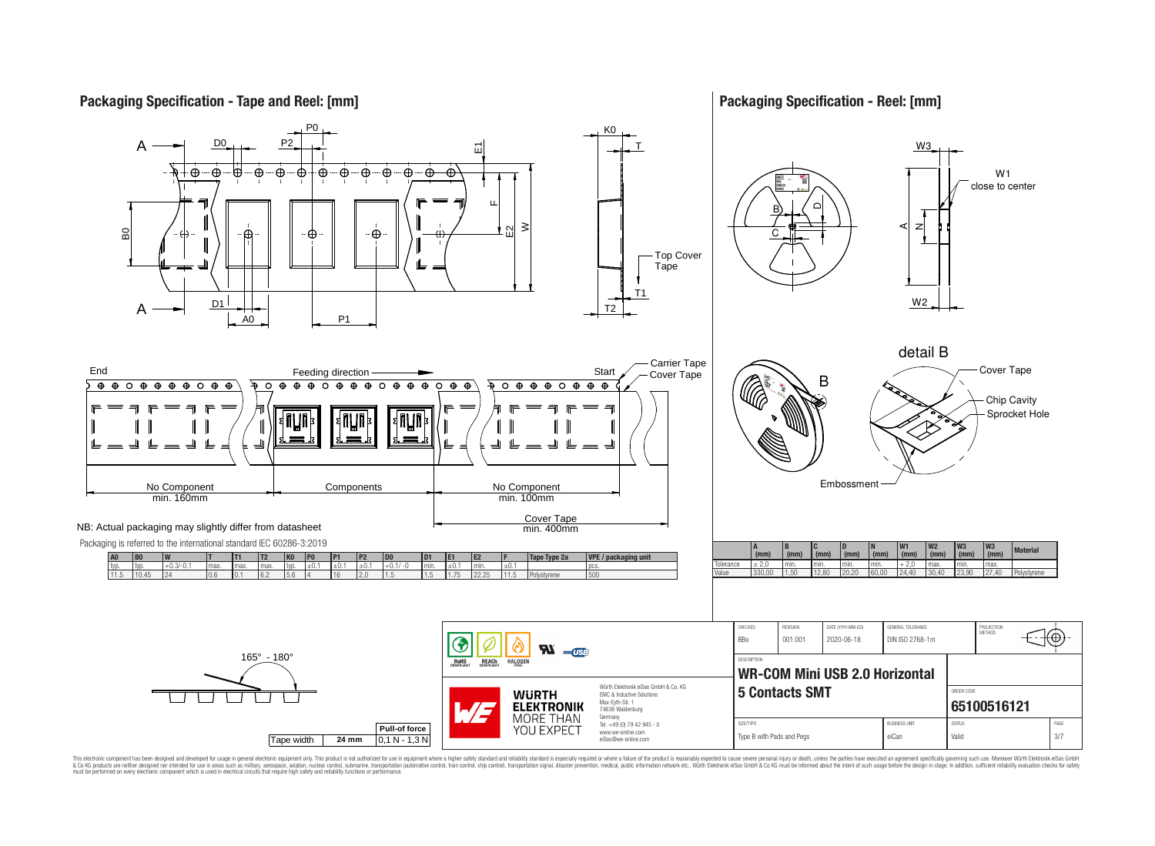### **Packaging Specification - Tape and Reel: [mm]**

### **Packaging Specification - Reel: [mm]**



This electronic component has been designed and developed for usage in general electronic equipment only. This product is not authorized for use in equipment where a higher safely standard and reliability standard si espec & Ook product a label and the membed of the seasuch as marked and as which such a membed and the such assume that income in the seasuch and the simulation and the such assume that include to the such a membed and the such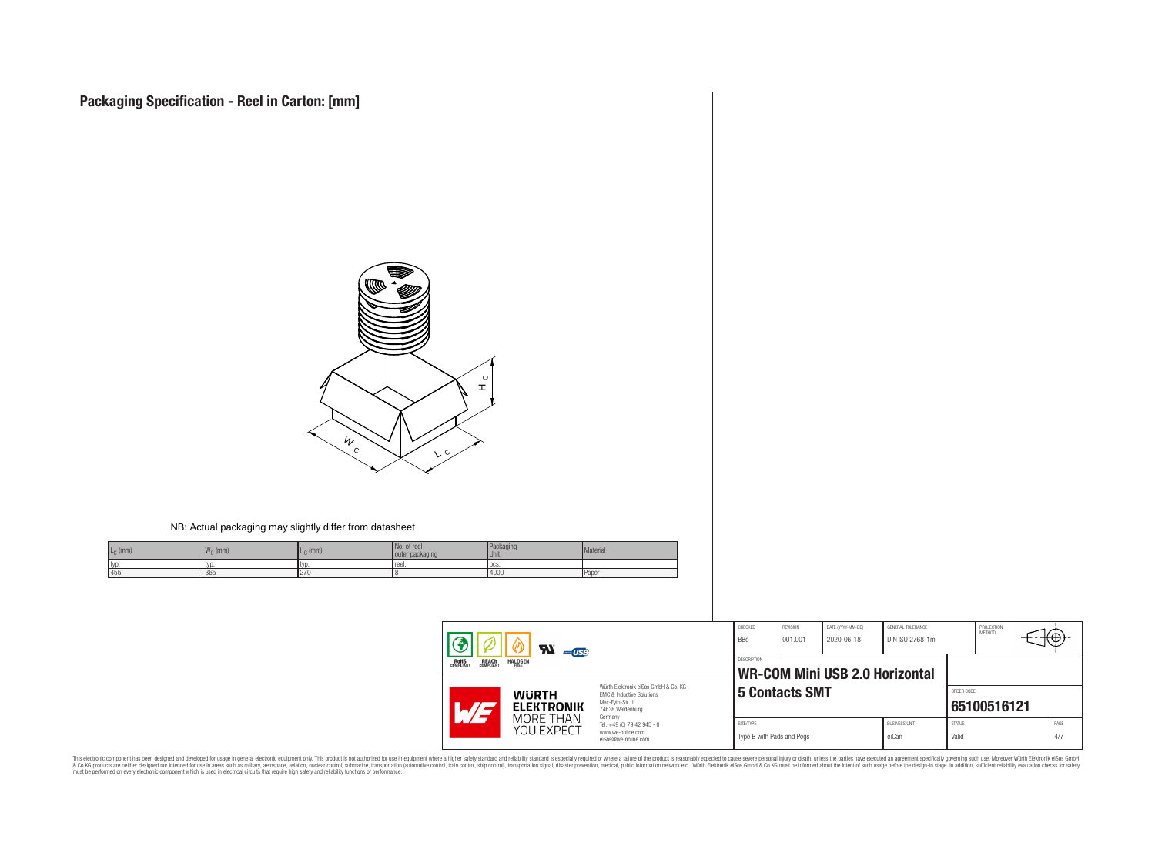

This electronic component has been designed and developed for usage in general electronic equipment only. This product is not authorized for subserved requipment where a higher selection equipment where a higher selection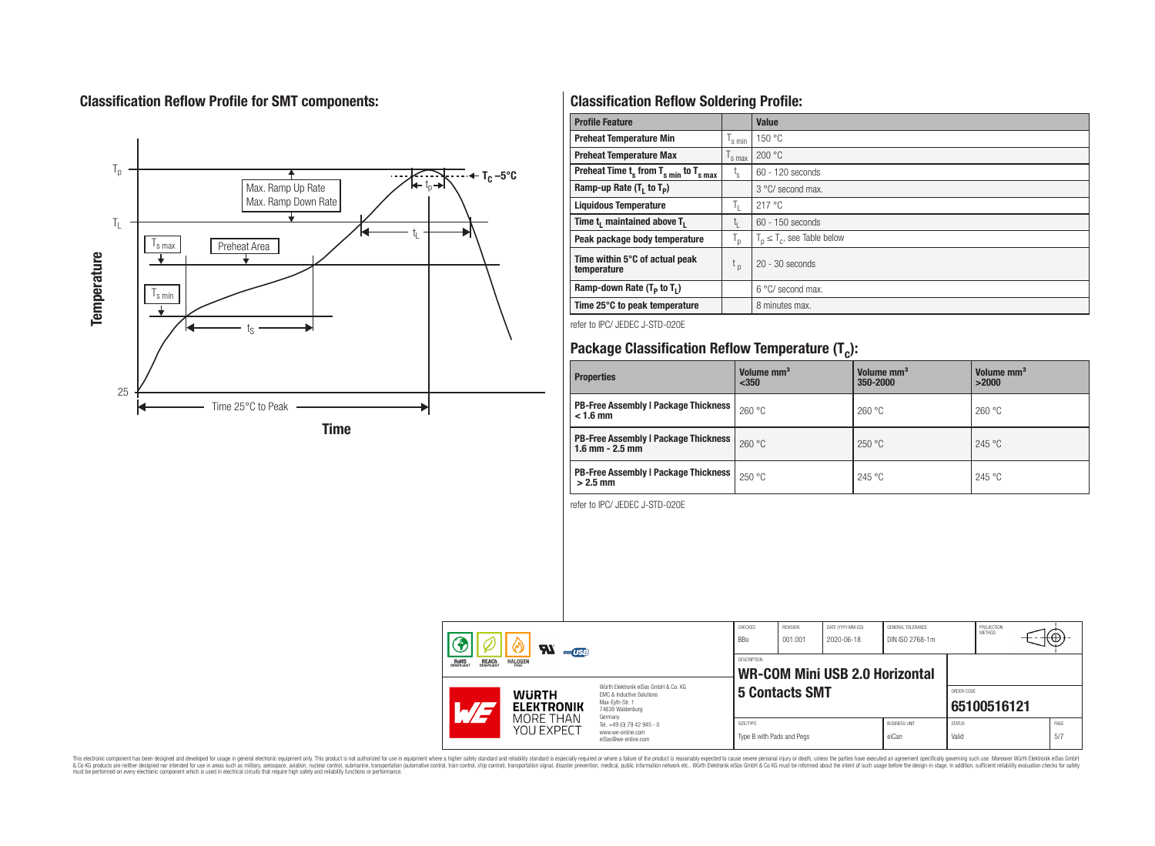# **Classification Reflow Profile for SMT components:**



# **Classification Reflow Soldering Profile:**

| <b>Profile Feature</b>                              |                    | Value                            |
|-----------------------------------------------------|--------------------|----------------------------------|
| <b>Preheat Temperature Min</b>                      | <sup>I</sup> s min | 150 °C                           |
| <b>Preheat Temperature Max</b>                      | 's max             | 200 °C                           |
| Preheat Time $t_s$ from $T_{s,min}$ to $T_{s,max}$  | $t_{\rm s}$        | 60 - 120 seconds                 |
| Ramp-up Rate $(T_1$ to $T_p$ )                      |                    | $3^{\circ}$ C/ second max.       |
| <b>Liquidous Temperature</b>                        | h.                 | 217°C                            |
| Time t <sub>i</sub> maintained above T <sub>1</sub> | t <sub>ı</sub>     | 60 - 150 seconds                 |
| Peak package body temperature                       | י"                 | $T_n \leq T_c$ , see Table below |
| Time within 5°C of actual peak<br>temperature       | t <sub>p</sub>     | $20 - 30$ seconds                |
| Ramp-down Rate $(T_p$ to $T_1$ )                    |                    | $6^{\circ}$ C/ second max.       |
| Time 25°C to peak temperature                       |                    | 8 minutes max.                   |

refer to IPC/ JEDEC J-STD-020E

# **Package Classification Reflow Temperature (T<sup>c</sup> ):**

| <b>Properties</b>                                                  | Volume mm <sup>3</sup><br>$350$ | Volume mm <sup>3</sup><br>350-2000 | Volume mm <sup>3</sup><br>>2000 |
|--------------------------------------------------------------------|---------------------------------|------------------------------------|---------------------------------|
| <b>PB-Free Assembly   Package Thickness</b><br>$< 1.6$ mm          | 260 °C                          | 260 °C                             | 260 °C                          |
| <b>PB-Free Assembly   Package Thickness</b><br>$1.6$ mm $- 2.5$ mm | 260 °C                          | 250 °C                             | 245 °C                          |
| <b>PB-Free Assembly   Package Thickness  </b><br>$>2.5$ mm         | 250 °C                          | 245 °C                             | 245 °C                          |

refer to IPC/ JEDEC J-STD-020E

| $\boldsymbol{\mathcal{H}}$<br>$-$ USB<br><b>REACH</b><br>COMPLIANT<br><b>HALOGEN</b><br><b>ROHS</b><br>COMPLIANT |                                                                                   | CHECKED<br><b>BBo</b>                                                        | REVISION<br>001.001 | DATE (YYYY-MM-DD)<br>2020-06-18 | GENERAL TOLERANCE<br>DIN ISO 2768-1m |                        | PROJECTION<br>METHOD | tΨ.         |             |  |
|------------------------------------------------------------------------------------------------------------------|-----------------------------------------------------------------------------------|------------------------------------------------------------------------------|---------------------|---------------------------------|--------------------------------------|------------------------|----------------------|-------------|-------------|--|
|                                                                                                                  |                                                                                   | DESCRIPTION<br><b>WR-COM Mini USB 2.0 Horizontal</b>                         |                     |                                 |                                      |                        |                      |             |             |  |
| <b>WURTH</b><br>Max-Evth-Str. 1<br><b>ELEKTRONIK</b><br>74638 Waldenburg                                         |                                                                                   | Würth Elektronik eiSos GmbH & Co. KG<br><b>FMC &amp; Inductive Solutions</b> |                     | <b>5 Contacts SMT</b>           |                                      |                        | ORDER CODE           | 65100516121 |             |  |
| MORE THAN<br>YOU EXPECT                                                                                          | Germany<br>Tel. +49 (0) 79 42 945 - 0<br>www.we-online.com<br>eiSos@we-online.com | SIZE/TYPE<br>Type B with Pads and Pegs                                       |                     |                                 | <b>BUSINESS UNIT</b><br>eiCan        | <b>STATUS</b><br>Valid |                      |             | PAGE<br>5/7 |  |

This electronic component has been designed and developed for usage in general electronic equipment only. This product is not authorized for subserved requipment where a higher selection equipment where a higher selection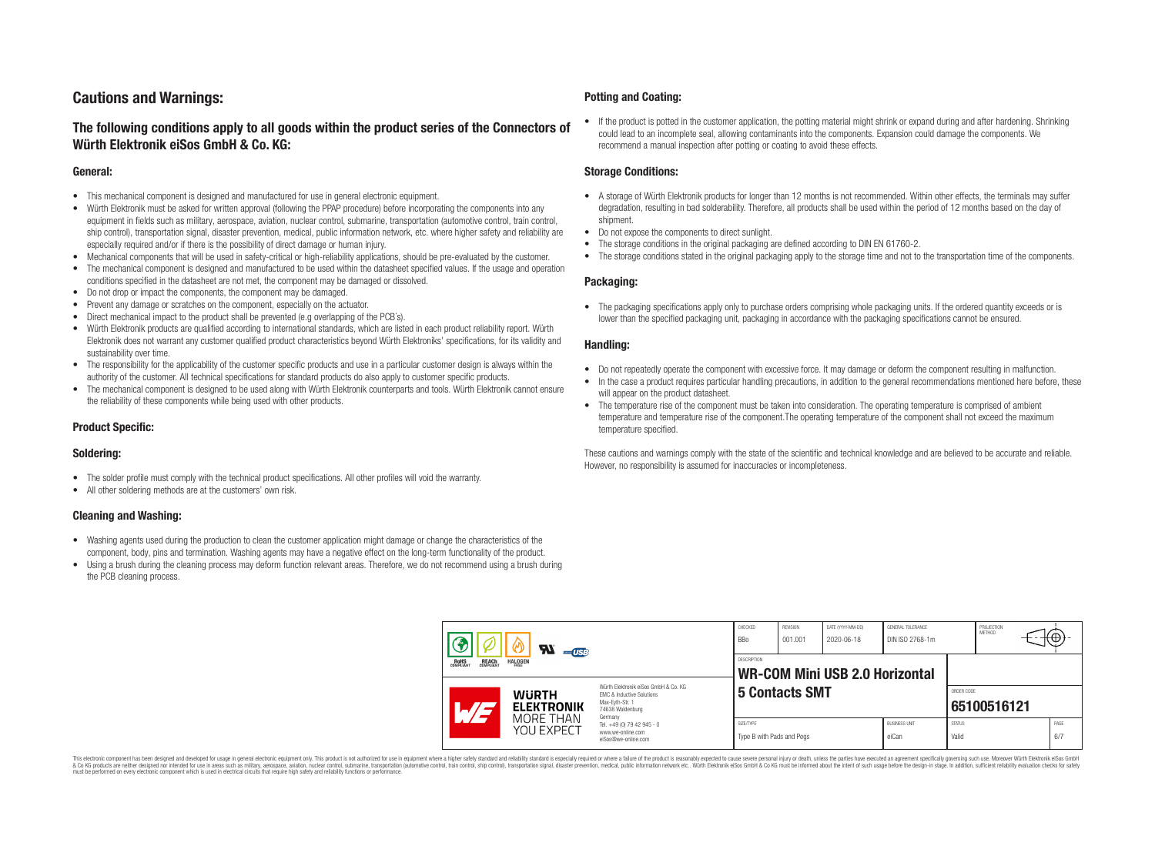### **Cautions and Warnings:**

### **The following conditions apply to all goods within the product series of the Connectors of Würth Elektronik eiSos GmbH & Co. KG:**

#### **General:**

- This mechanical component is designed and manufactured for use in general electronic equipment.
- Würth Elektronik must be asked for written approval (following the PPAP procedure) before incorporating the components into any equipment in fields such as military, aerospace, aviation, nuclear control, submarine, transportation (automotive control, train control, ship control), transportation signal, disaster prevention, medical, public information network, etc. where higher safety and reliability are especially required and/or if there is the possibility of direct damage or human injury.
- Mechanical components that will be used in safety-critical or high-reliability applications, should be pre-evaluated by the customer.
- The mechanical component is designed and manufactured to be used within the datasheet specified values. If the usage and operation conditions specified in the datasheet are not met, the component may be damaged or dissolved.
- Do not drop or impact the components, the component may be damaged.
- Prevent any damage or scratches on the component, especially on the actuator.
- Direct mechanical impact to the product shall be prevented (e.g overlapping of the PCB's).
- Würth Elektronik products are qualified according to international standards, which are listed in each product reliability report. Würth Elektronik does not warrant any customer qualified product characteristics beyond Würth Elektroniks' specifications, for its validity and sustainability over time.
- The responsibility for the applicability of the customer specific products and use in a particular customer design is always within the authority of the customer. All technical specifications for standard products do also apply to customer specific products.
- The mechanical component is designed to be used along with Würth Elektronik counterparts and tools. Würth Elektronik cannot ensure the reliability of these components while being used with other products.

#### **Product Specific:**

#### **Soldering:**

- The solder profile must comply with the technical product specifications. All other profiles will void the warranty.
- All other soldering methods are at the customers' own risk.

#### **Cleaning and Washing:**

- Washing agents used during the production to clean the customer application might damage or change the characteristics of the component, body, pins and termination. Washing agents may have a negative effect on the long-term functionality of the product.
- Using a brush during the cleaning process may deform function relevant areas. Therefore, we do not recommend using a brush during the PCB cleaning process.

#### **Potting and Coating:**

• If the product is potted in the customer application, the potting material might shrink or expand during and after hardening. Shrinking could lead to an incomplete seal, allowing contaminants into the components. Expansion could damage the components. We recommend a manual inspection after potting or coating to avoid these effects.

#### **Storage Conditions:**

- A storage of Würth Elektronik products for longer than 12 months is not recommended. Within other effects, the terminals may suffer degradation, resulting in bad solderability. Therefore, all products shall be used within the period of 12 months based on the day of shipment.
- Do not expose the components to direct sunlight.
- The storage conditions in the original packaging are defined according to DIN EN 61760-2.
- The storage conditions stated in the original packaging apply to the storage time and not to the transportation time of the components.

#### **Packaging:**

• The packaging specifications apply only to purchase orders comprising whole packaging units. If the ordered quantity exceeds or is lower than the specified packaging unit, packaging in accordance with the packaging specifications cannot be ensured.

#### **Handling:**

- Do not repeatedly operate the component with excessive force. It may damage or deform the component resulting in malfunction.
- In the case a product requires particular handling precautions, in addition to the general recommendations mentioned here before, these will appear on the product datasheet
- The temperature rise of the component must be taken into consideration. The operating temperature is comprised of ambient temperature and temperature rise of the component.The operating temperature of the component shall not exceed the maximum temperature specified.

These cautions and warnings comply with the state of the scientific and technical knowledge and are believed to be accurate and reliable. However, no responsibility is assumed for inaccuracies or incompleteness.

| $\boldsymbol{\mathcal{H}}$<br>$-$ USB<br><b>ROHS</b><br><b>REACH</b><br>COMPLIANT<br><b>HALOGEN</b><br>FRFF |                                   | CHECKED<br><b>BBo</b>                                                                                               | <b>REVISION</b><br>001.001             | DATE (YYYY-MM-DD)<br>2020-06-18 | GENERAL TOLERANCE<br>DIN ISO 2768-1m |                               | PROJECTION<br>METHOD   | ΉΨ.         |             |
|-------------------------------------------------------------------------------------------------------------|-----------------------------------|---------------------------------------------------------------------------------------------------------------------|----------------------------------------|---------------------------------|--------------------------------------|-------------------------------|------------------------|-------------|-------------|
|                                                                                                             |                                   | <b>DESCRIPTION</b><br><b>WR-COM Mini USB 2.0 Horizontal</b>                                                         |                                        |                                 |                                      |                               |                        |             |             |
|                                                                                                             | <b>WURTH</b><br><b>ELEKTRONIK</b> | Würth Flektronik eiSos GmbH & Co. KG<br>FMC & Inductive Solutions<br>Max-Eyth-Str. 1<br>74638 Waldenburg<br>Germany |                                        | <b>5 Contacts SMT</b>           |                                      |                               | ORDER CODE             | 65100516121 |             |
|                                                                                                             | MORE THAN<br>YOU EXPECT           | Tel. +49 (0) 79 42 945 - 0<br>www.we-online.com<br>eiSos@we-online.com                                              | SIZE/TYPE<br>Type B with Pads and Pegs |                                 |                                      | <b>BUSINESS UNIT</b><br>eiCan | <b>STATUS</b><br>Valid |             | PAGE<br>6/7 |

This electronic component has been designed and developed for usage in general electronic equipment only. This product is not authorized for use in equipment where a higher safety standard and reliability standard si espec & Ook product a label and the membed of the seasuch as marked and as which such a membed and the such assume that income in the seasuch and the simulation and the such assume that include to the such a membed and the such